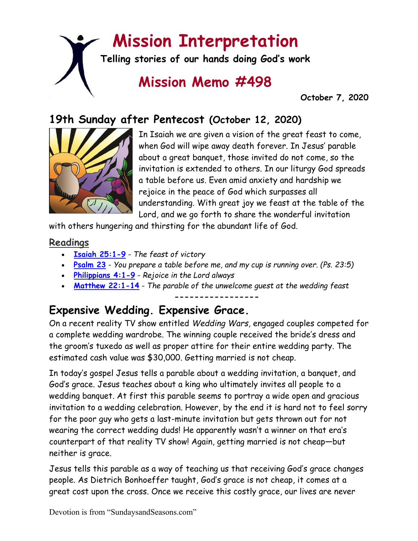# **Mission Interpretation**

**Telling stories of our hands doing God's work**

## **Mission Memo #498**

 **October 7, 2020**

## **19th Sunday after Pentecost (October 12, 2020)**



In Isaiah we are given a vision of the great feast to come, when God will wipe away death forever. In Jesus' parable about a great banquet, those invited do not come, so the invitation is extended to others. In our liturgy God spreads a table before us. Even amid anxiety and hardship we rejoice in the peace of God which surpasses all understanding. With great joy we feast at the table of the Lord, and we go forth to share the wonderful invitation

with others hungering and thirsting for the abundant life of God.

#### **Readings**

- **[Isaiah 25:1-9](https://members.sundaysandseasons.com/)** *The feast of victory*
- **[Psalm 23](https://members.sundaysandseasons.com/)** *You prepare a table before me, and my cup is running over. (Ps. 23:5)*
- **[Philippians 4:1-9](https://members.sundaysandseasons.com/)** *Rejoice in the Lord always*
- **[Matthew 22:1-14](https://members.sundaysandseasons.com/)** *The parable of the unwelcome guest at the wedding feast*

**-----------------**

## **Expensive Wedding. Expensive Grace.**

On a recent reality TV show entitled *Wedding Wars*, engaged couples competed for a complete wedding wardrobe. The winning couple received the bride's dress and the groom's tuxedo as well as proper attire for their entire wedding party. The estimated cash value was \$30,000. Getting married is not cheap.

In today's gospel Jesus tells a parable about a wedding invitation, a banquet, and God's grace. Jesus teaches about a king who ultimately invites all people to a wedding banquet. At first this parable seems to portray a wide open and gracious invitation to a wedding celebration. However, by the end it is hard not to feel sorry for the poor guy who gets a last-minute invitation but gets thrown out for not wearing the correct wedding duds! He apparently wasn't a winner on that era's counterpart of that reality TV show! Again, getting married is not cheap—but neither is grace.

Jesus tells this parable as a way of teaching us that receiving God's grace changes people. As Dietrich Bonhoeffer taught, God's grace is not cheap, it comes at a great cost upon the cross. Once we receive this costly grace, our lives are never

Devotion is from "SundaysandSeasons.com"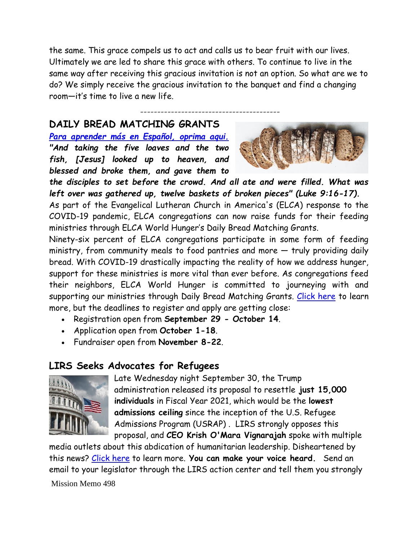the same. This grace compels us to act and calls us to bear fruit with our lives. Ultimately we are led to share this grace with others. To continue to live in the same way after receiving this gracious invitation is not an option. So what are we to do? We simply receive the gracious invitation to the banquet and find a changing room—it's time to live a new life.

-----------------------------------------

#### **DAILY BREAD MATCHING GRANTS**

*[Para aprender más en Español, oprima aqui.](https://download.elca.org/ELCA%20Resource%20Repository/Daily_Bread_Grant_Details_Espanol.pdf) "And taking the five loaves and the two fish, [Jesus] looked up to heaven, and blessed and broke them, and gave them to* 



*the disciples to set before the crowd. And all ate and were filled. What was left over was gathered up, twelve baskets of broken pieces" (Luke 9:16-17).*

As part of the Evangelical Lutheran Church in America's (ELCA) response to the COVID-19 pandemic, ELCA congregations can now raise funds for their feeding ministries through ELCA World Hunger's Daily Bread Matching Grants.

Ninety-six percent of ELCA congregations participate in some form of feeding ministry, from community meals to food pantries and more — truly providing daily bread. With COVID-19 drastically impacting the reality of how we address hunger, support for these ministries is more vital than ever before. As congregations feed their neighbors, ELCA World Hunger is committed to journeying with and supporting our ministries through Daily Bread Matching Grants. [Click here](https://support.elca.org/site/TR/Events/General?sid=1010&type=fr_informational&pg=informational&fr_id=1391) to learn more, but the deadlines to register and apply are getting close:

- Registration open from **September 29 - October 14**.
- Application open from **October 1-18**.
- Fundraiser open from **November 8-22**.

## **LIRS Seeks Advocates for Refugees**



Late Wednesday night September 30, the Trump administration released its proposal to resettle **just 15,000 individuals** in Fiscal Year 2021, which would be the **lowest admissions ceiling** since the inception of the U.S. Refugee Admissions Program (USRAP) . LIRS strongly opposes this proposal, and **CEO Krish O'Mara Vignarajah** spoke with multiple

Mission Memo 498 media outlets about this abdication of humanitarian leadership. Disheartened by this news? [Click here](https://mailchi.mp/63bb21add196/this-week-at-lirs-7792411?e=9d05c2cfd9) to learn more. **You can make your voice heard.** Send an email to your legislator through the LIRS action center and tell them you strongly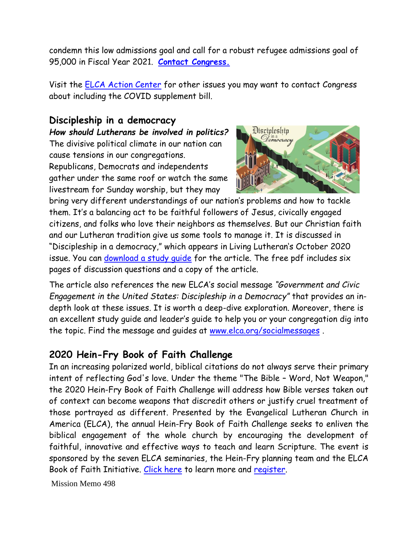condemn this low admissions goal and call for a robust refugee admissions goal of 95,000 in Fiscal Year 2021. **[Contact Congress.](https://lirs.us14.list-manage.com/track/click?u=1ba26e3c84448d9ea4814c790&id=6befa66759&e=9d05c2cfd9)**

Visit the [ELCA Action Center](https://support.elca.org/site/SPageNavigator/elca_action_center.html?NONCE_TOKEN=6CBDB0429D56BCE2BDCC07A644DF9FAE&_ga=2.253939976.1415151756.1602111077-972326734.1586897588) for other issues you may want to contact Congress about including the COVID supplement bill.

#### **Discipleship in a democracy**

*How should Lutherans be involved in politics?* The divisive political climate in our nation can cause tensions in our congregations. Republicans, Democrats and independents gather under the same roof or watch the same livestream for Sunday worship, but they may



bring very different understandings of our nation's problems and how to tackle them. It's a balancing act to be faithful followers of Jesus, civically engaged citizens, and folks who love their neighbors as themselves. But our Christian faith and our Lutheran tradition give us some tools to manage it. It is discussed in "Discipleship in a democracy," which appears in Living Lutheran's October 2020 issue. You can [download a study guide](http://livinglutheran.blob.core.windows.net/cdn/wp-content/uploads/2020/10/1020discipleship.pdf) for the article. The free pdf includes six pages of discussion questions and a copy of the article.

The article also references the new ELCA's social message *"Government and Civic Engagement in the United States: Discipleship in a Democracy"* that provides an indepth look at these issues. It is worth a deep-dive exploration. Moreover, there is an excellent study guide and leader's guide to help you or your congregation dig into the topic. Find the message and guides at [www.elca.org/socialmessages](http://www.elca.org/socialmessages) .

## **2020 Hein-Fry Book of Faith Challenge**

In an increasing polarized world, biblical citations do not always serve their primary intent of reflecting God's love. Under the theme "The Bible – Word, Not Weapon," the 2020 Hein-Fry Book of Faith Challenge will address how Bible verses taken out of context can become weapons that discredit others or justify cruel treatment of those portrayed as different. Presented by the Evangelical Lutheran Church in America (ELCA), the annual Hein-Fry Book of Faith Challenge seeks to enliven the biblical engagement of the whole church by encouraging the development of faithful, innovative and effective ways to teach and learn Scripture. The event is sponsored by the seven ELCA seminaries, the Hein-Fry planning team and the ELCA Book of Faith Initiative. [Click here](https://elca.org/News-and-Events/8071) to learn more and [register.](http://www.bookoffaith.org/#HFBFC)

Mission Memo 498